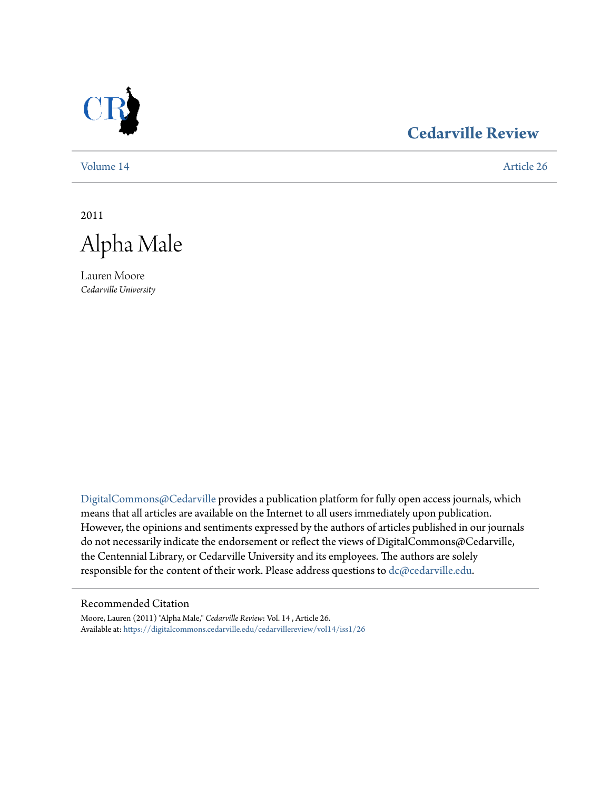

# **[Cedarville Review](https://digitalcommons.cedarville.edu/cedarvillereview?utm_source=digitalcommons.cedarville.edu%2Fcedarvillereview%2Fvol14%2Fiss1%2F26&utm_medium=PDF&utm_campaign=PDFCoverPages)**

[Volume 14](https://digitalcommons.cedarville.edu/cedarvillereview/vol14?utm_source=digitalcommons.cedarville.edu%2Fcedarvillereview%2Fvol14%2Fiss1%2F26&utm_medium=PDF&utm_campaign=PDFCoverPages) [Article 26](https://digitalcommons.cedarville.edu/cedarvillereview/vol14/iss1/26?utm_source=digitalcommons.cedarville.edu%2Fcedarvillereview%2Fvol14%2Fiss1%2F26&utm_medium=PDF&utm_campaign=PDFCoverPages)

2011

Alpha Male

Lauren Moore *Cedarville University*

[DigitalCommons@Cedarville](http://digitalcommons.cedarville.edu) provides a publication platform for fully open access journals, which means that all articles are available on the Internet to all users immediately upon publication. However, the opinions and sentiments expressed by the authors of articles published in our journals do not necessarily indicate the endorsement or reflect the views of DigitalCommons@Cedarville, the Centennial Library, or Cedarville University and its employees. The authors are solely responsible for the content of their work. Please address questions to [dc@cedarville.edu](mailto:dc@cedarville.edu).

#### Recommended Citation

Moore, Lauren (2011) "Alpha Male," *Cedarville Review*: Vol. 14 , Article 26. Available at: [https://digitalcommons.cedarville.edu/cedarvillereview/vol14/iss1/26](https://digitalcommons.cedarville.edu/cedarvillereview/vol14/iss1/26?utm_source=digitalcommons.cedarville.edu%2Fcedarvillereview%2Fvol14%2Fiss1%2F26&utm_medium=PDF&utm_campaign=PDFCoverPages)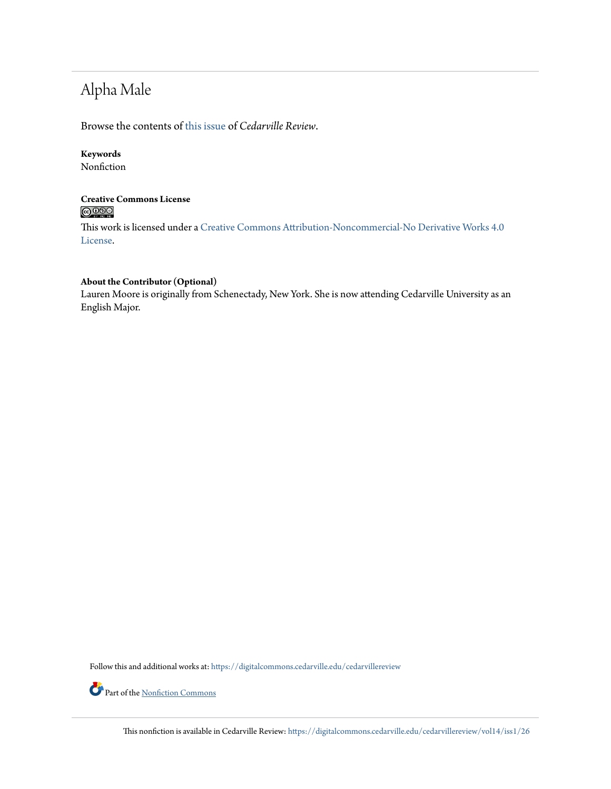# Alpha Male

Browse the contents of [this issue](https://digitalcommons.cedarville.edu/cedarvillereview/vol14/iss1) of *Cedarville Review*.

## **Keywords**

Nonfiction

### **Creative Commons License**  $\bigcirc$   $\circ$

This work is licensed under a [Creative Commons Attribution-Noncommercial-No Derivative Works 4.0](http://creativecommons.org/licenses/by-nc-nd/4.0/) [License.](http://creativecommons.org/licenses/by-nc-nd/4.0/)

#### **About the Contributor (Optional)**

Lauren Moore is originally from Schenectady, New York. She is now attending Cedarville University as an English Major.

Follow this and additional works at: [https://digitalcommons.cedarville.edu/cedarvillereview](https://digitalcommons.cedarville.edu/cedarvillereview?utm_source=digitalcommons.cedarville.edu%2Fcedarvillereview%2Fvol14%2Fiss1%2F26&utm_medium=PDF&utm_campaign=PDFCoverPages)



This nonfiction is available in Cedarville Review: [https://digitalcommons.cedarville.edu/cedarvillereview/vol14/iss1/26](https://digitalcommons.cedarville.edu/cedarvillereview/vol14/iss1/26?utm_source=digitalcommons.cedarville.edu%2Fcedarvillereview%2Fvol14%2Fiss1%2F26&utm_medium=PDF&utm_campaign=PDFCoverPages)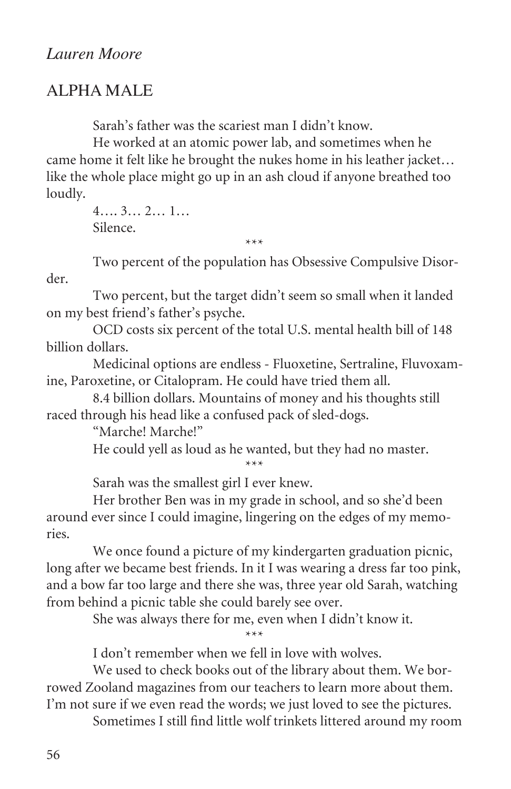# Alpha Male

Sarah's father was the scariest man I didn't know.

He worked at an atomic power lab, and sometimes when he came home it felt like he brought the nukes home in his leather jacket… like the whole place might go up in an ash cloud if anyone breathed too loudly.

> 4…. 3… 2… 1… Silence.

 \*\*\* Two percent of the population has Obsessive Compulsive Disorder.

Two percent, but the target didn't seem so small when it landed on my best friend's father's psyche.

OCD costs six percent of the total U.S. mental health bill of 148 billion dollars.

Medicinal options are endless - Fluoxetine, Sertraline, Fluvoxamine, Paroxetine, or Citalopram. He could have tried them all.

8.4 billion dollars. Mountains of money and his thoughts still raced through his head like a confused pack of sled-dogs.

"Marche! Marche!"

He could yell as loud as he wanted, but they had no master.

\*\*\*

Sarah was the smallest girl I ever knew.

Her brother Ben was in my grade in school, and so she'd been around ever since I could imagine, lingering on the edges of my memories.

We once found a picture of my kindergarten graduation picnic, long after we became best friends. In it I was wearing a dress far too pink, and a bow far too large and there she was, three year old Sarah, watching from behind a picnic table she could barely see over.

She was always there for me, even when I didn't know it.

\*\*\*

I don't remember when we fell in love with wolves.

We used to check books out of the library about them. We borrowed Zooland magazines from our teachers to learn more about them. I'm not sure if we even read the words; we just loved to see the pictures.

Sometimes I still find little wolf trinkets littered around my room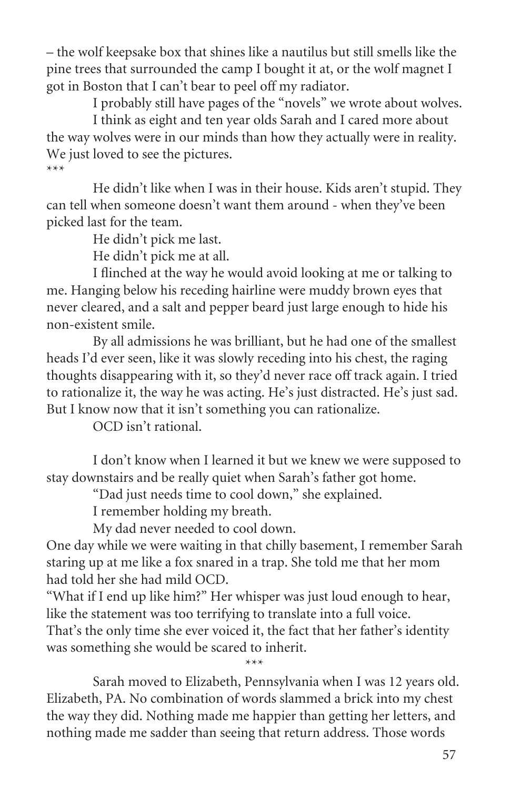– the wolf keepsake box that shines like a nautilus but still smells like the pine trees that surrounded the camp I bought it at, or the wolf magnet I got in Boston that I can't bear to peel off my radiator.

I probably still have pages of the "novels" we wrote about wolves.

I think as eight and ten year olds Sarah and I cared more about the way wolves were in our minds than how they actually were in reality. We just loved to see the pictures. \*\*\*

He didn't like when I was in their house. Kids aren't stupid. They can tell when someone doesn't want them around - when they've been picked last for the team.

He didn't pick me last.

He didn't pick me at all.

I flinched at the way he would avoid looking at me or talking to me. Hanging below his receding hairline were muddy brown eyes that never cleared, and a salt and pepper beard just large enough to hide his non-existent smile.

By all admissions he was brilliant, but he had one of the smallest heads I'd ever seen, like it was slowly receding into his chest, the raging thoughts disappearing with it, so they'd never race off track again. I tried to rationalize it, the way he was acting. He's just distracted. He's just sad. But I know now that it isn't something you can rationalize.

OCD isn't rational.

\*\*\*

I don't know when I learned it but we knew we were supposed to stay downstairs and be really quiet when Sarah's father got home.

"Dad just needs time to cool down," she explained.

I remember holding my breath.

My dad never needed to cool down.

One day while we were waiting in that chilly basement, I remember Sarah staring up at me like a fox snared in a trap. She told me that her mom had told her she had mild OCD.

"What if I end up like him?" Her whisper was just loud enough to hear, like the statement was too terrifying to translate into a full voice. That's the only time she ever voiced it, the fact that her father's identity was something she would be scared to inherit.

Sarah moved to Elizabeth, Pennsylvania when I was 12 years old. Elizabeth, PA. No combination of words slammed a brick into my chest the way they did. Nothing made me happier than getting her letters, and nothing made me sadder than seeing that return address. Those words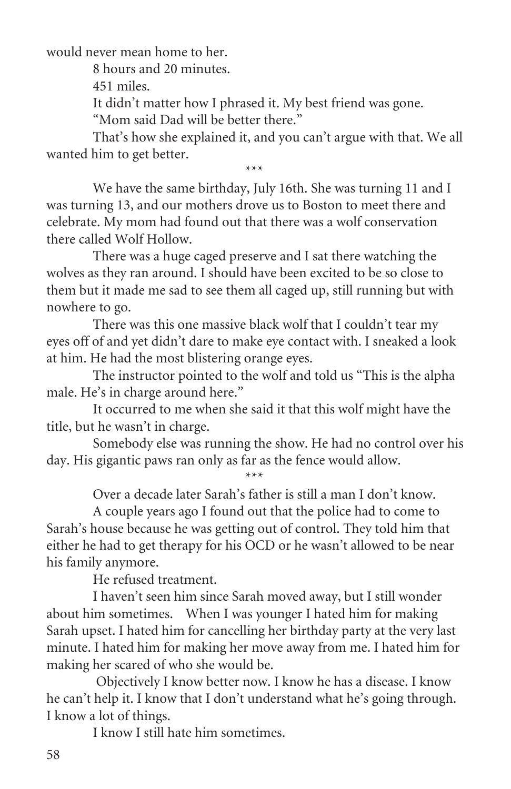would never mean home to her.

8 hours and 20 minutes.

451 miles.

It didn't matter how I phrased it. My best friend was gone.

"Mom said Dad will be better there."

That's how she explained it, and you can't argue with that. We all wanted him to get better.

 \*\*\* We have the same birthday, July 16th. She was turning 11 and I was turning 13, and our mothers drove us to Boston to meet there and celebrate. My mom had found out that there was a wolf conservation there called Wolf Hollow.

There was a huge caged preserve and I sat there watching the wolves as they ran around. I should have been excited to be so close to them but it made me sad to see them all caged up, still running but with nowhere to go.

There was this one massive black wolf that I couldn't tear my eyes off of and yet didn't dare to make eye contact with. I sneaked a look at him. He had the most blistering orange eyes.

The instructor pointed to the wolf and told us "This is the alpha male. He's in charge around here."

It occurred to me when she said it that this wolf might have the title, but he wasn't in charge.

Somebody else was running the show. He had no control over his day. His gigantic paws ran only as far as the fence would allow.

\*\*\*

Over a decade later Sarah's father is still a man I don't know.

A couple years ago I found out that the police had to come to Sarah's house because he was getting out of control. They told him that either he had to get therapy for his OCD or he wasn't allowed to be near his family anymore.

He refused treatment.

I haven't seen him since Sarah moved away, but I still wonder about him sometimes. When I was younger I hated him for making Sarah upset. I hated him for cancelling her birthday party at the very last minute. I hated him for making her move away from me. I hated him for making her scared of who she would be.

 Objectively I know better now. I know he has a disease. I know he can't help it. I know that I don't understand what he's going through. I know a lot of things.

I know I still hate him sometimes.